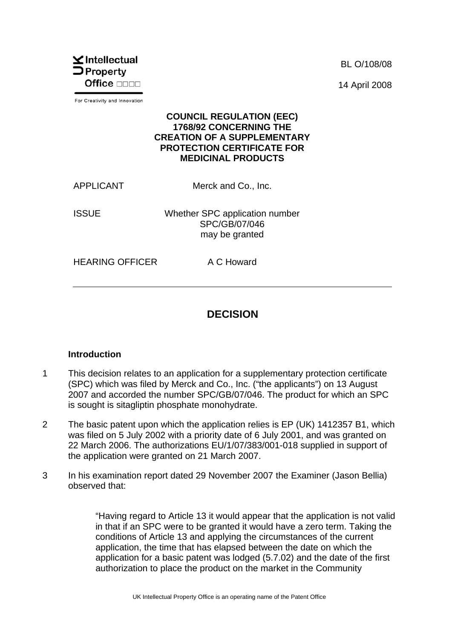

For Creativity and Innovation

BL O/108/08 14 April 2008

#### **COUNCIL REGULATION (EEC) 1768/92 CONCERNING THE CREATION OF A SUPPLEMENTARY PROTECTION CERTIFICATE FOR MEDICINAL PRODUCTS**

APPLICANT Merck and Co., Inc.

ISSUE Whether SPC application number SPC/GB/07/046 may be granted

HEARING OFFICER A C Howard

# **DECISION**

#### **Introduction**

- 1 This decision relates to an application for a supplementary protection certificate (SPC) which was filed by Merck and Co., Inc. ("the applicants") on 13 August 2007 and accorded the number SPC/GB/07/046. The product for which an SPC is sought is sitagliptin phosphate monohydrate.
- 2 The basic patent upon which the application relies is EP (UK) 1412357 B1, which was filed on 5 July 2002 with a priority date of 6 July 2001, and was granted on 22 March 2006. The authorizations EU/1/07/383/001-018 supplied in support of the application were granted on 21 March 2007.
- 3 In his examination report dated 29 November 2007 the Examiner (Jason Bellia) observed that:

"Having regard to Article 13 it would appear that the application is not valid in that if an SPC were to be granted it would have a zero term. Taking the conditions of Article 13 and applying the circumstances of the current application, the time that has elapsed between the date on which the application for a basic patent was lodged (5.7.02) and the date of the first authorization to place the product on the market in the Community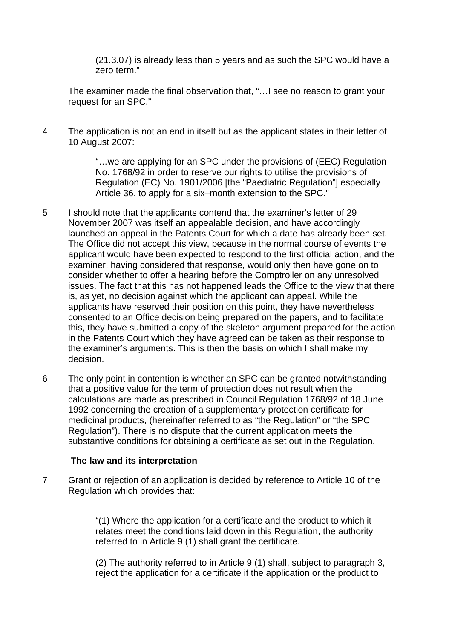(21.3.07) is already less than 5 years and as such the SPC would have a zero term."

The examiner made the final observation that, "…I see no reason to grant your request for an SPC."

4 The application is not an end in itself but as the applicant states in their letter of 10 August 2007:

> "…we are applying for an SPC under the provisions of (EEC) Regulation No. 1768/92 in order to reserve our rights to utilise the provisions of Regulation (EC) No. 1901/2006 [the "Paediatric Regulation"] especially Article 36, to apply for a six–month extension to the SPC."

- 5 I should note that the applicants contend that the examiner's letter of 29 November 2007 was itself an appealable decision, and have accordingly launched an appeal in the Patents Court for which a date has already been set. The Office did not accept this view, because in the normal course of events the applicant would have been expected to respond to the first official action, and the examiner, having considered that response, would only then have gone on to consider whether to offer a hearing before the Comptroller on any unresolved issues. The fact that this has not happened leads the Office to the view that there is, as yet, no decision against which the applicant can appeal. While the applicants have reserved their position on this point, they have nevertheless consented to an Office decision being prepared on the papers, and to facilitate this, they have submitted a copy of the skeleton argument prepared for the action in the Patents Court which they have agreed can be taken as their response to the examiner's arguments. This is then the basis on which I shall make my decision.
- 6 The only point in contention is whether an SPC can be granted notwithstanding that a positive value for the term of protection does not result when the calculations are made as prescribed in Council Regulation 1768/92 of 18 June 1992 concerning the creation of a supplementary protection certificate for medicinal products, (hereinafter referred to as "the Regulation" or "the SPC Regulation"). There is no dispute that the current application meets the substantive conditions for obtaining a certificate as set out in the Regulation.

#### **The law and its interpretation**

7 Grant or rejection of an application is decided by reference to Article 10 of the Regulation which provides that:

> "(1) Where the application for a certificate and the product to which it relates meet the conditions laid down in this Regulation, the authority referred to in Article 9 (1) shall grant the certificate.

(2) The authority referred to in Article 9 (1) shall, subject to paragraph 3, reject the application for a certificate if the application or the product to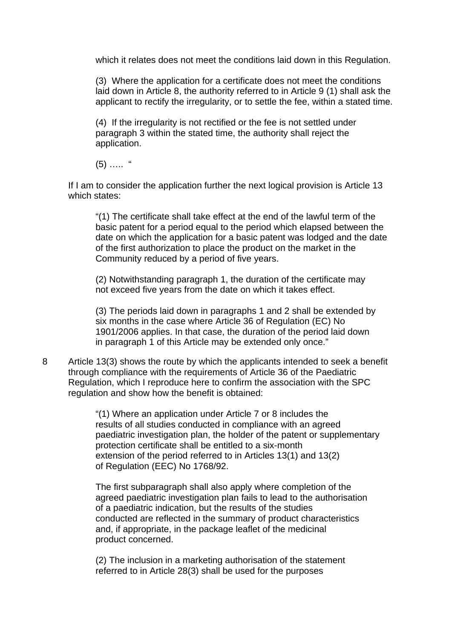which it relates does not meet the conditions laid down in this Regulation.

(3) Where the application for a certificate does not meet the conditions laid down in Article 8, the authority referred to in Article 9 (1) shall ask the applicant to rectify the irregularity, or to settle the fee, within a stated time.

(4) If the irregularity is not rectified or the fee is not settled under paragraph 3 within the stated time, the authority shall reject the application.

 $(5)$  …… "

If I am to consider the application further the next logical provision is Article 13 which states:

"(1) The certificate shall take effect at the end of the lawful term of the basic patent for a period equal to the period which elapsed between the date on which the application for a basic patent was lodged and the date of the first authorization to place the product on the market in the Community reduced by a period of five years.

(2) Notwithstanding paragraph 1, the duration of the certificate may not exceed five years from the date on which it takes effect.

(3) The periods laid down in paragraphs 1 and 2 shall be extended by six months in the case where Article 36 of Regulation (EC) No 1901/2006 applies. In that case, the duration of the period laid down in paragraph 1 of this Article may be extended only once."

8 Article 13(3) shows the route by which the applicants intended to seek a benefit through compliance with the requirements of Article 36 of the Paediatric Regulation, which I reproduce here to confirm the association with the SPC regulation and show how the benefit is obtained:

> "(1) Where an application under Article 7 or 8 includes the results of all studies conducted in compliance with an agreed paediatric investigation plan, the holder of the patent or supplementary protection certificate shall be entitled to a six-month extension of the period referred to in Articles 13(1) and 13(2) of Regulation (EEC) No 1768/92.

The first subparagraph shall also apply where completion of the agreed paediatric investigation plan fails to lead to the authorisation of a paediatric indication, but the results of the studies conducted are reflected in the summary of product characteristics and, if appropriate, in the package leaflet of the medicinal product concerned.

(2) The inclusion in a marketing authorisation of the statement referred to in Article 28(3) shall be used for the purposes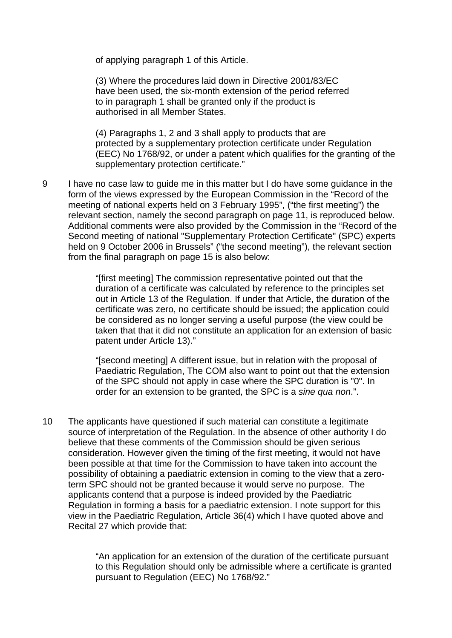of applying paragraph 1 of this Article.

(3) Where the procedures laid down in Directive 2001/83/EC have been used, the six-month extension of the period referred to in paragraph 1 shall be granted only if the product is authorised in all Member States.

(4) Paragraphs 1, 2 and 3 shall apply to products that are protected by a supplementary protection certificate under Regulation (EEC) No 1768/92, or under a patent which qualifies for the granting of the supplementary protection certificate."

9 I have no case law to guide me in this matter but I do have some guidance in the form of the views expressed by the European Commission in the "Record of the meeting of national experts held on 3 February 1995", ("the first meeting") the relevant section, namely the second paragraph on page 11, is reproduced below. Additional comments were also provided by the Commission in the "Record of the Second meeting of national "Supplementary Protection Certificate" (SPC) experts held on 9 October 2006 in Brussels" ("the second meeting"), the relevant section from the final paragraph on page 15 is also below:

> "[first meeting] The commission representative pointed out that the duration of a certificate was calculated by reference to the principles set out in Article 13 of the Regulation. If under that Article, the duration of the certificate was zero, no certificate should be issued; the application could be considered as no longer serving a useful purpose (the view could be taken that that it did not constitute an application for an extension of basic patent under Article 13)."

> "[second meeting] A different issue, but in relation with the proposal of Paediatric Regulation, The COM also want to point out that the extension of the SPC should not apply in case where the SPC duration is "0". In order for an extension to be granted, the SPC is a *sine qua non*.".

10 The applicants have questioned if such material can constitute a legitimate source of interpretation of the Regulation. In the absence of other authority I do believe that these comments of the Commission should be given serious consideration. However given the timing of the first meeting, it would not have been possible at that time for the Commission to have taken into account the possibility of obtaining a paediatric extension in coming to the view that a zeroterm SPC should not be granted because it would serve no purpose. The applicants contend that a purpose is indeed provided by the Paediatric Regulation in forming a basis for a paediatric extension. I note support for this view in the Paediatric Regulation, Article 36(4) which I have quoted above and Recital 27 which provide that:

> "An application for an extension of the duration of the certificate pursuant to this Regulation should only be admissible where a certificate is granted pursuant to Regulation (EEC) No 1768/92."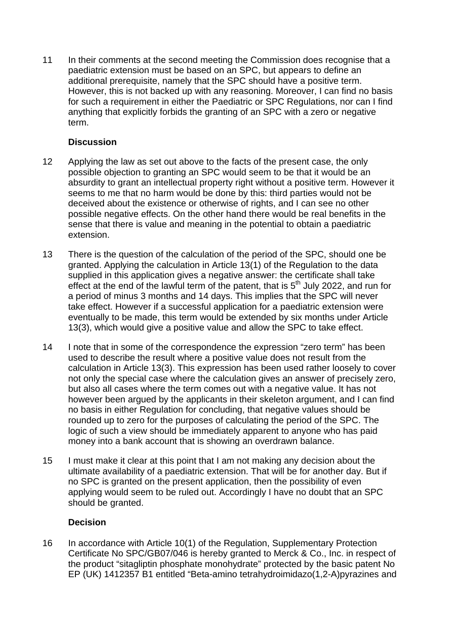11 In their comments at the second meeting the Commission does recognise that a paediatric extension must be based on an SPC, but appears to define an additional prerequisite, namely that the SPC should have a positive term. However, this is not backed up with any reasoning. Moreover, I can find no basis for such a requirement in either the Paediatric or SPC Regulations, nor can I find anything that explicitly forbids the granting of an SPC with a zero or negative term.

## **Discussion**

- 12 Applying the law as set out above to the facts of the present case, the only possible objection to granting an SPC would seem to be that it would be an absurdity to grant an intellectual property right without a positive term. However it seems to me that no harm would be done by this: third parties would not be deceived about the existence or otherwise of rights, and I can see no other possible negative effects. On the other hand there would be real benefits in the sense that there is value and meaning in the potential to obtain a paediatric extension.
- 13 There is the question of the calculation of the period of the SPC, should one be granted. Applying the calculation in Article 13(1) of the Regulation to the data supplied in this application gives a negative answer: the certificate shall take effect at the end of the lawful term of the patent, that is  $5<sup>th</sup>$  July 2022, and run for a period of minus 3 months and 14 days. This implies that the SPC will never take effect. However if a successful application for a paediatric extension were eventually to be made, this term would be extended by six months under Article 13(3), which would give a positive value and allow the SPC to take effect.
- 14 I note that in some of the correspondence the expression "zero term" has been used to describe the result where a positive value does not result from the calculation in Article 13(3). This expression has been used rather loosely to cover not only the special case where the calculation gives an answer of precisely zero, but also all cases where the term comes out with a negative value. It has not however been argued by the applicants in their skeleton argument, and I can find no basis in either Regulation for concluding, that negative values should be rounded up to zero for the purposes of calculating the period of the SPC. The logic of such a view should be immediately apparent to anyone who has paid money into a bank account that is showing an overdrawn balance.
- 15 I must make it clear at this point that I am not making any decision about the ultimate availability of a paediatric extension. That will be for another day. But if no SPC is granted on the present application, then the possibility of even applying would seem to be ruled out. Accordingly I have no doubt that an SPC should be granted.

## **Decision**

16 In accordance with Article 10(1) of the Regulation, Supplementary Protection Certificate No SPC/GB07/046 is hereby granted to Merck & Co., Inc. in respect of the product "sitagliptin phosphate monohydrate" protected by the basic patent No EP (UK) 1412357 B1 entitled "Beta-amino tetrahydroimidazo(1,2-A)pyrazines and